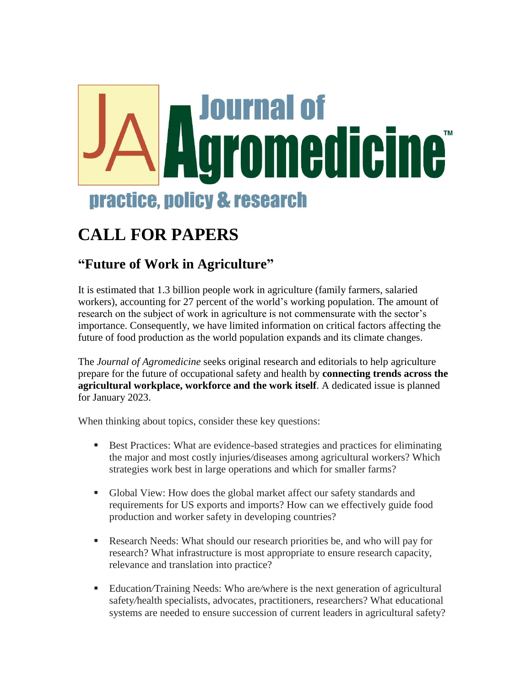

## **CALL FOR PAPERS**

## **"Future of Work in Agriculture"**

It is estimated that 1.3 billion people work in agriculture (family farmers, salaried workers), accounting for 27 percent of the world's working population. The amount of research on the subject of work in agriculture is not commensurate with the sector's importance. Consequently, we have limited information on critical factors affecting the future of food production as the world population expands and its climate changes.

The *Journal of Agromedicine* seeks original research and editorials to help agriculture prepare for the future of occupational safety and health by **connecting trends across the agricultural workplace, workforce and the work itself**. A dedicated issue is planned for January 2023.

When thinking about topics, consider these key questions:

- **Best Practices:** What are evidence-based strategies and practices for eliminating the major and most costly injuries*/*diseases among agricultural workers? Which strategies work best in large operations and which for smaller farms?
- Global View: How does the global market affect our safety standards and requirements for US exports and imports? How can we effectively guide food production and worker safety in developing countries?
- Research Needs: What should our research priorities be, and who will pay for research? What infrastructure is most appropriate to ensure research capacity, relevance and translation into practice?
- Education*/*Training Needs: Who are*/*where is the next generation of agricultural safety*/*health specialists, advocates, practitioners, researchers? What educational systems are needed to ensure succession of current leaders in agricultural safety?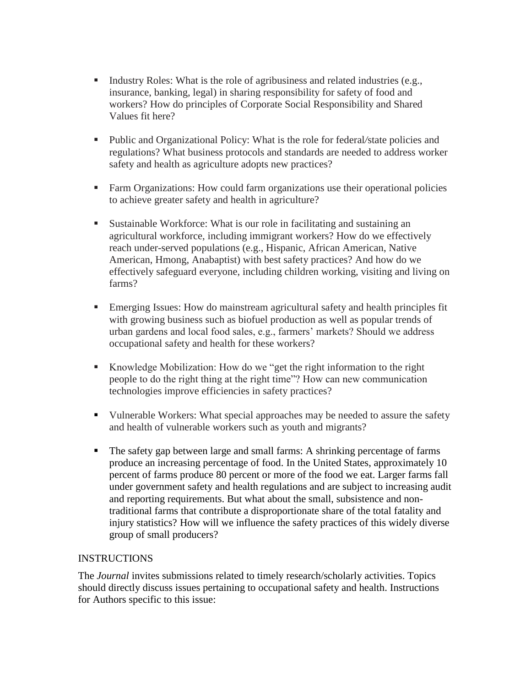- Industry Roles: What is the role of agribusiness and related industries (e.g., insurance, banking, legal) in sharing responsibility for safety of food and workers? How do principles of Corporate Social Responsibility and Shared Values fit here?
- Public and Organizational Policy: What is the role for federal*/*state policies and regulations? What business protocols and standards are needed to address worker safety and health as agriculture adopts new practices?
- Farm Organizations: How could farm organizations use their operational policies to achieve greater safety and health in agriculture?
- Sustainable Workforce: What is our role in facilitating and sustaining an agricultural workforce, including immigrant workers? How do we effectively reach under-served populations (e.g., Hispanic, African American, Native American, Hmong, Anabaptist) with best safety practices? And how do we effectively safeguard everyone, including children working, visiting and living on farms?
- Emerging Issues: How do mainstream agricultural safety and health principles fit with growing business such as biofuel production as well as popular trends of urban gardens and local food sales, e.g., farmers' markets? Should we address occupational safety and health for these workers?
- Knowledge Mobilization: How do we "get the right information to the right people to do the right thing at the right time"? How can new communication technologies improve efficiencies in safety practices?
- Vulnerable Workers: What special approaches may be needed to assure the safety and health of vulnerable workers such as youth and migrants?
- The safety gap between large and small farms: A shrinking percentage of farms produce an increasing percentage of food. In the United States, approximately 10 percent of farms produce 80 percent or more of the food we eat. Larger farms fall under government safety and health regulations and are subject to increasing audit and reporting requirements. But what about the small, subsistence and nontraditional farms that contribute a disproportionate share of the total fatality and injury statistics? How will we influence the safety practices of this widely diverse group of small producers?

## INSTRUCTIONS

The *Journal* invites submissions related to timely research/scholarly activities. Topics should directly discuss issues pertaining to occupational safety and health. Instructions for Authors specific to this issue: